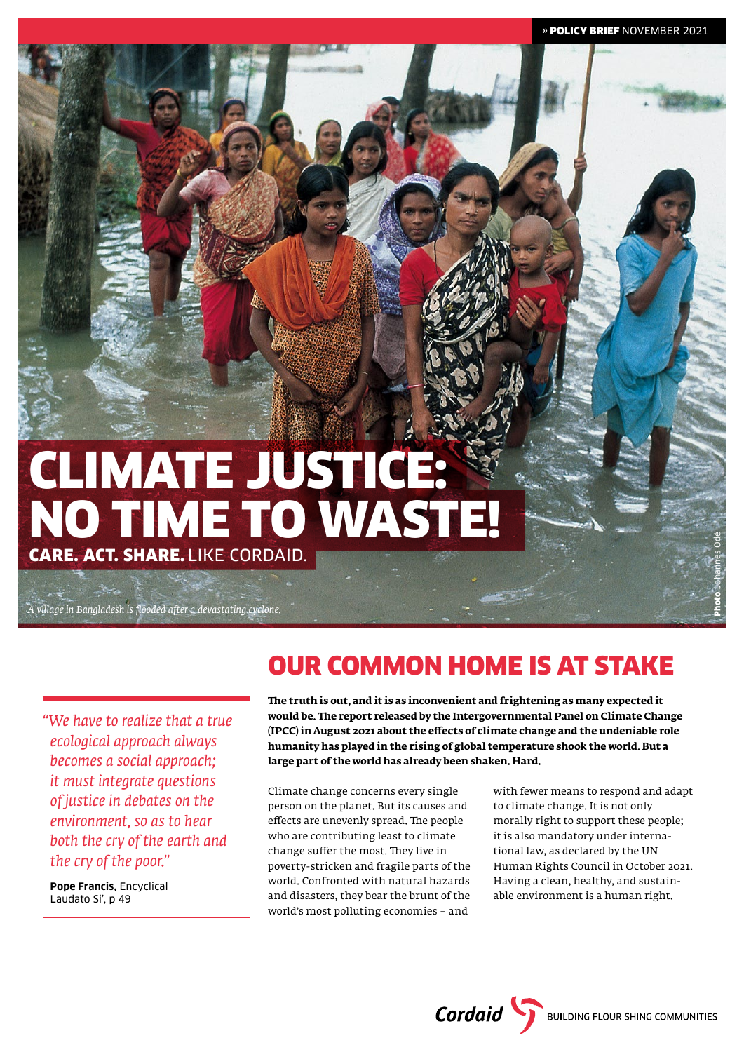# CLIMATE JUSTICE: NO TIME TO WASTE! CARE. ACT. SHARE. LIKE CORDAID.

*A village in Bangladesh is flooded after a devastating cyclone.*

*"We have to realize that a true ecological approach always becomes a social approach; it must integrate questions of justice in debates on the environment, so as to hear both the cry of the earth and the cry of the poor."*

**Pope Francis,** Encyclical Laudato Si', p 49

## OUR COMMON HOME IS AT STAKE

**The truth is out, and it is as inconvenient and frightening as many expected it would be. The report released by the Intergovernmental Panel on Climate Change (IPCC) in August 2021 about the effects of climate change and the undeniable role humanity has played in the rising of global temperature shook the world. But a large part of the world has already been shaken. Hard.**

Climate change concerns every single person on the planet. But its causes and effects are unevenly spread. The people who are contributing least to climate change suffer the most. They live in poverty-stricken and fragile parts of the world. Confronted with natural hazards and disasters, they bear the brunt of the world's most polluting economies – and

with fewer means to respond and adapt to climate change. It is not only morally right to support these people; it is also mandatory under international law, as declared by the UN Human Rights Council in October 2021. Having a clean, healthy, and sustainable environment is a human right.

**Cordaid** BUILDING FLOURISHING COMMUNITIES

Photo Johannes Odé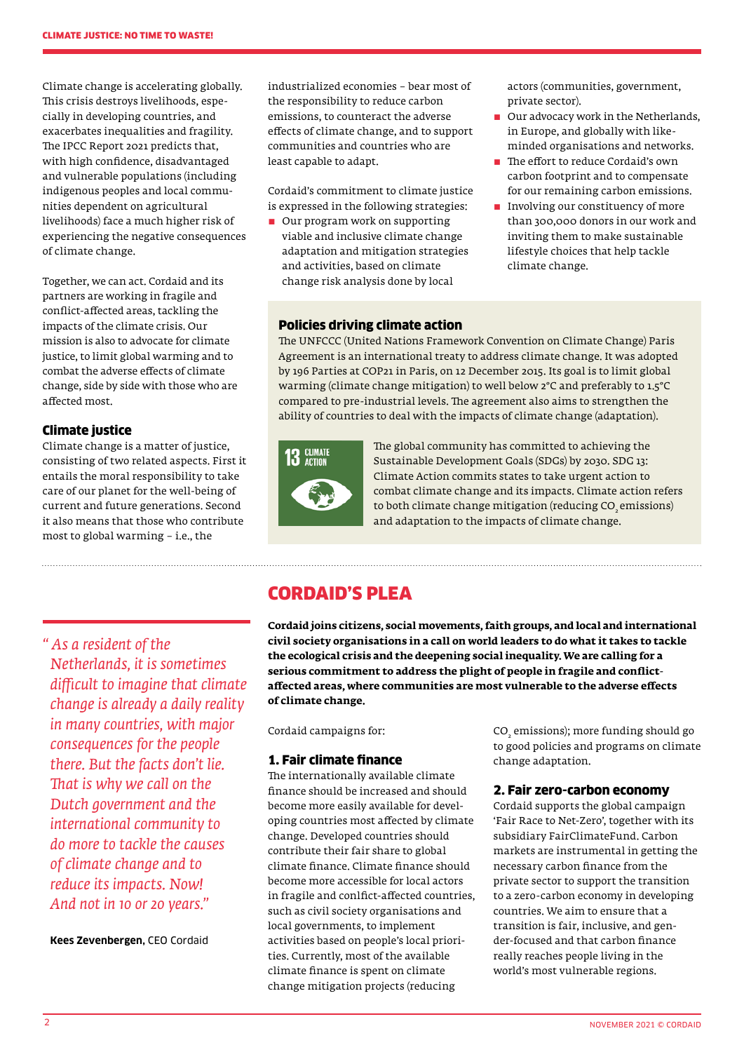Climate change is accelerating globally. This crisis destroys livelihoods, especially in developing countries, and exacerbates inequalities and fragility. The IPCC Report 2021 predicts that, with high confidence, disadvantaged and vulnerable populations (including indigenous peoples and local communities dependent on agricultural livelihoods) face a much higher risk of experiencing the negative consequences of climate change.

Together, we can act. Cordaid and its partners are working in fragile and conflict-affected areas, tackling the impacts of the climate crisis. Our mission is also to advocate for climate justice, to limit global warming and to combat the adverse effects of climate change, side by side with those who are affected most.

### Climate justice

Climate change is a matter of justice, consisting of two related aspects. First it entails the moral responsibility to take care of our planet for the well-being of current and future generations. Second it also means that those who contribute most to global warming – i.e., the

*" As a resident of the Netherlands, it is sometimes difficult to imagine that climate change is already a daily reality in many countries, with major consequences for the people there. But the facts don't lie. That is why we call on the Dutch government and the international community to do more to tackle the causes of climate change and to reduce its impacts. Now! And not in 10 or 20 years."*

**Kees Zevenbergen,** CEO Cordaid

industrialized economies – bear most of the responsibility to reduce carbon emissions, to counteract the adverse effects of climate change, and to support communities and countries who are least capable to adapt.

Cordaid's commitment to climate justice is expressed in the following strategies:

■ Our program work on supporting viable and inclusive climate change adaptation and mitigation strategies and activities, based on climate change risk analysis done by local

#### $\blacksquare$  Involving our constituency of more than 300,000 donors in our work and

inviting them to make sustainable lifestyle choices that help tackle climate change.

### Policies driving climate action

The UNFCCC (United Nations Framework Convention on Climate Change) Paris Agreement is an international treaty to address climate change. It was adopted by 196 Parties at COP21 in Paris, on 12 December 2015. Its goal is to limit global warming (climate change mitigation) to well below 2°C and preferably to 1.5°C compared to pre-industrial levels. The agreement also aims to strengthen the ability of countries to deal with the impacts of climate change (adaptation).



The global community has committed to achieving the Sustainable Development Goals (SDGs) by 2030. SDG 13: Climate Action commits states to take urgent action to combat climate change and its impacts. Climate action refers to both climate change mitigation (reducing CO<sub>2</sub> emissions) and adaptation to the impacts of climate change.

### CORDAID'S PLEA

**Cordaid joins citizens, social movements, faith groups, and local and international civil society organisations in a call on world leaders to do what it takes to tackle the ecological crisis and the deepening social inequality. We are calling for a serious commitment to address the plight of people in fragile and conflictaffected areas, where communities are most vulnerable to the adverse effects of climate change.**

Cordaid campaigns for:

### 1. Fair climate finance

The internationally available climate finance should be increased and should become more easily available for developing countries most affected by climate change. Developed countries should contribute their fair share to global climate finance. Climate finance should become more accessible for local actors in fragile and conlfict-affected countries, such as civil society organisations and local governments, to implement activities based on people's local priorities. Currently, most of the available climate finance is spent on climate change mitigation projects (reducing

CO<sub>2</sub> emissions); more funding should go to good policies and programs on climate change adaptation.

actors (communities, government,

**D** Our advocacy work in the Netherlands, in Europe, and globally with likeminded organisations and networks. The effort to reduce Cordaid's own carbon footprint and to compensate for our remaining carbon emissions.

private sector).

### 2. Fair zero-carbon economy

Cordaid supports the global campaign 'Fair Race to Net-Zero', together with its subsidiary FairClimateFund. Carbon markets are instrumental in getting the necessary carbon finance from the private sector to support the transition to a zero-carbon economy in developing countries. We aim to ensure that a transition is fair, inclusive, and gender-focused and that carbon finance really reaches people living in the world's most vulnerable regions.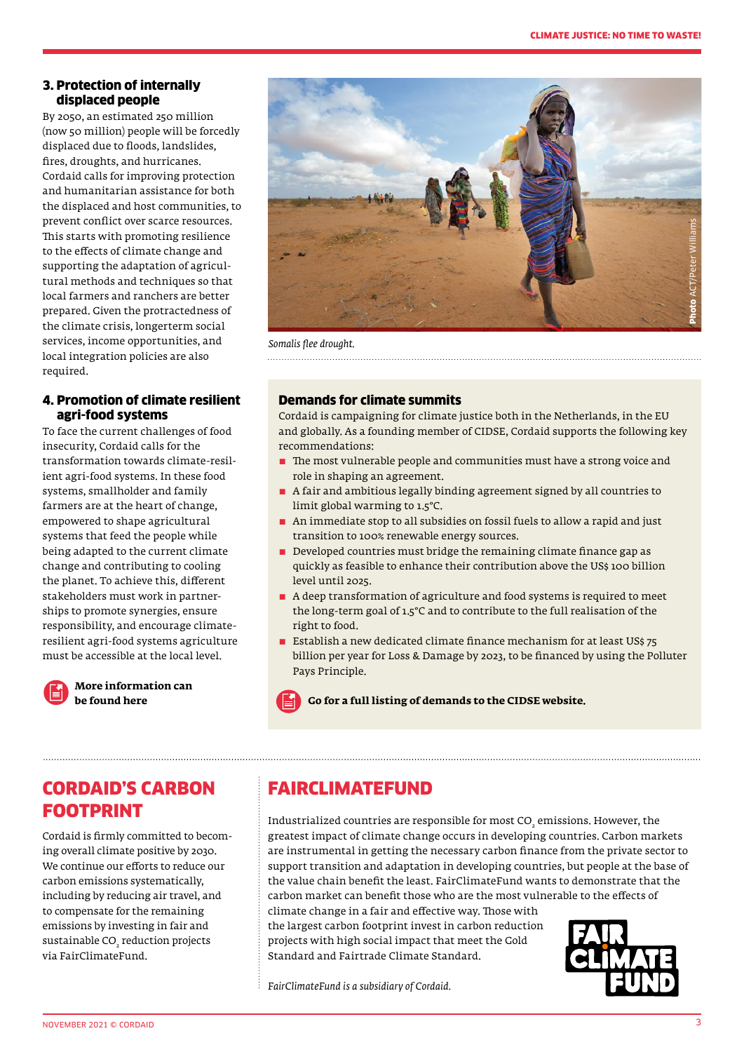### 3. Protection of internally displaced people

By 2050, an estimated 250 million (now 50 million) people will be forcedly displaced due to floods, landslides, fires, droughts, and hurricanes. Cordaid calls for improving protection and humanitarian assistance for both the displaced and host communities, to prevent conflict over scarce resources. This starts with promoting resilience to the effects of climate change and supporting the adaptation of agricultural methods and techniques so that local farmers and ranchers are better prepared. Given the protractedness of the climate crisis, longerterm social services, income opportunities, and local integration policies are also required.

### 4. Promotion of climate resilient agri-food systems

To face the current challenges of food insecurity, Cordaid calls for the transformation towards climate-resilient agri-food systems. In these food systems, smallholder and family farmers are at the heart of change, empowered to shape agricultural systems that feed the people while being adapted to the current climate change and contributing to cooling the planet. To achieve this, different stakeholders must work in partnerships to promote synergies, ensure responsibility, and encourage climateresilient agri-food systems agriculture must be accessible at the local level.



## **[More information can](http://www.cordaid.org/en/topic/food-and-income)**



*Somalis flee drought.* 

### Demands for climate summits

Cordaid is campaigning for climate justice both in the Netherlands, in the EU and globally. As a founding member of CIDSE, Cordaid supports the following key recommendations:

- $\blacksquare$  The most vulnerable people and communities must have a strong voice and role in shaping an agreement.
- $\blacksquare$  A fair and ambitious legally binding agreement signed by all countries to limit global warming to 1.5°C.
- $\blacksquare$  An immediate stop to all subsidies on fossil fuels to allow a rapid and just transition to 100% renewable energy sources.
- $\blacksquare$  Developed countries must bridge the remaining climate finance gap as quickly as feasible to enhance their contribution above the US\$ 100 billion level until 2025.
- $\blacksquare$  A deep transformation of agriculture and food systems is required to meet the long-term goal of 1.5°C and to contribute to the full realisation of the right to food.
- $\blacksquare$  Establish a new dedicated climate finance mechanism for at least US\$ 75. billion per year for Loss & Damage by 2023, to be financed by using the Polluter Pays Principle.

**be found here [Go for a full listing of demands to the CIDSE website.](http://www.cidse.org/)** 

### CORDAID'S CARBON FOOTPRINT

Cordaid is firmly committed to becoming overall climate positive by 2030. We continue our efforts to reduce our carbon emissions systematically, including by reducing air travel, and to compensate for the remaining emissions by investing in fair and sustainable  $\text{CO}_2$  reduction projects via FairClimateFund.

### FAIRCLIMATEFUND

Industrialized countries are responsible for most  $\mathrm{CO}_2$  emissions. However, the greatest impact of climate change occurs in developing countries. Carbon markets are instrumental in getting the necessary carbon finance from the private sector to support transition and adaptation in developing countries, but people at the base of the value chain benefit the least. FairClimateFund wants to demonstrate that the carbon market can benefit those who are the most vulnerable to the effects of

climate change in a fair and effective way. Those with the largest carbon footprint invest in carbon reduction projects with high social impact that meet the Gold -<br>Standard and Fairtrade Climate Standard.



*FairClimateFund is a subsidiary of Cordaid.*